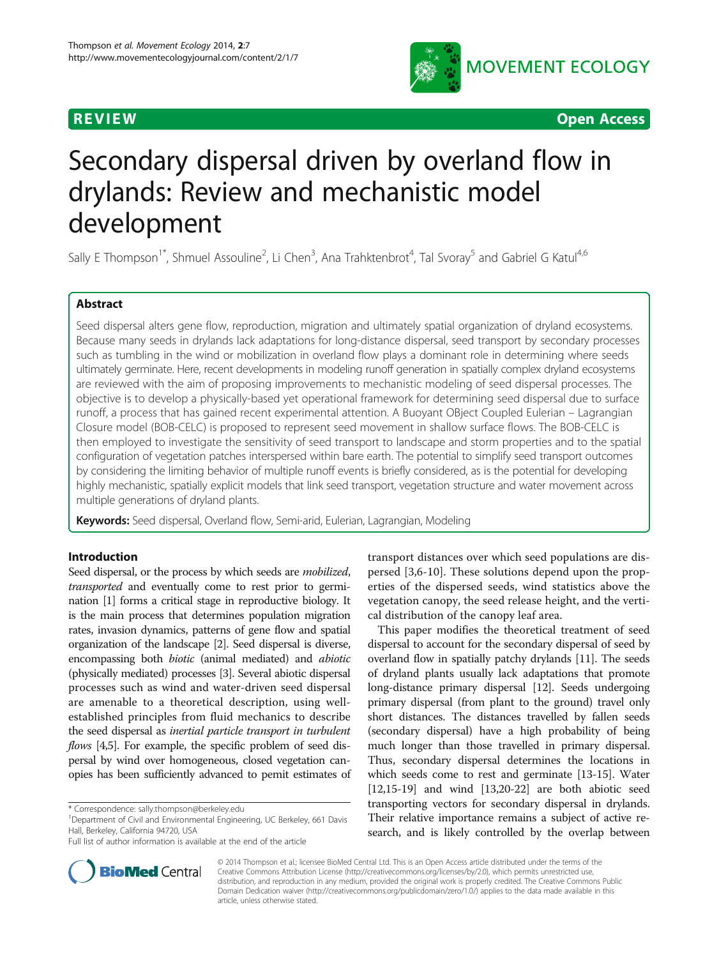



**REVIEW CONTROL** CONTROL CONTROL CONTROL CONTROL CONTROL CONTROL CONTROL CONTROL CONTROL CONTROL CONTROL CONTROL CONTROL CONTROL CONTROL CONTROL CONTROL CONTROL CONTROL CONTROL CONTROL CONTROL CONTROL CONTROL CONTROL CONTR

# Secondary dispersal driven by overland flow in drylands: Review and mechanistic model development

Sally E Thompson<sup>1\*</sup>, Shmuel Assouline<sup>2</sup>, Li Chen<sup>3</sup>, Ana Trahktenbrot<sup>4</sup>, Tal Svoray<sup>5</sup> and Gabriel G Katul<sup>4,6</sup>

# Abstract

Seed dispersal alters gene flow, reproduction, migration and ultimately spatial organization of dryland ecosystems. Because many seeds in drylands lack adaptations for long-distance dispersal, seed transport by secondary processes such as tumbling in the wind or mobilization in overland flow plays a dominant role in determining where seeds ultimately germinate. Here, recent developments in modeling runoff generation in spatially complex dryland ecosystems are reviewed with the aim of proposing improvements to mechanistic modeling of seed dispersal processes. The objective is to develop a physically-based yet operational framework for determining seed dispersal due to surface runoff, a process that has gained recent experimental attention. A Buoyant OBject Coupled Eulerian – Lagrangian Closure model (BOB-CELC) is proposed to represent seed movement in shallow surface flows. The BOB-CELC is then employed to investigate the sensitivity of seed transport to landscape and storm properties and to the spatial configuration of vegetation patches interspersed within bare earth. The potential to simplify seed transport outcomes by considering the limiting behavior of multiple runoff events is briefly considered, as is the potential for developing highly mechanistic, spatially explicit models that link seed transport, vegetation structure and water movement across multiple generations of dryland plants.

Keywords: Seed dispersal, Overland flow, Semi-arid, Eulerian, Lagrangian, Modeling

# Introduction

Seed dispersal, or the process by which seeds are *mobilized*, transported and eventually come to rest prior to germination [\[1\]](#page-10-0) forms a critical stage in reproductive biology. It is the main process that determines population migration rates, invasion dynamics, patterns of gene flow and spatial organization of the landscape [\[2\]](#page-10-0). Seed dispersal is diverse, encompassing both biotic (animal mediated) and abiotic (physically mediated) processes [[3](#page-10-0)]. Several abiotic dispersal processes such as wind and water-driven seed dispersal are amenable to a theoretical description, using wellestablished principles from fluid mechanics to describe the seed dispersal as inertial particle transport in turbulent flows [[4,5\]](#page-10-0). For example, the specific problem of seed dispersal by wind over homogeneous, closed vegetation canopies has been sufficiently advanced to pemit estimates of

<sup>1</sup>Department of Civil and Environmental Engineering, UC Berkeley, 661 Davis Hall, Berkeley, California 94720, USA

transport distances over which seed populations are dispersed [\[3,6-10](#page-10-0)]. These solutions depend upon the properties of the dispersed seeds, wind statistics above the vegetation canopy, the seed release height, and the vertical distribution of the canopy leaf area.

This paper modifies the theoretical treatment of seed dispersal to account for the secondary dispersal of seed by overland flow in spatially patchy drylands [\[11\]](#page-10-0). The seeds of dryland plants usually lack adaptations that promote long-distance primary dispersal [\[12](#page-10-0)]. Seeds undergoing primary dispersal (from plant to the ground) travel only short distances. The distances travelled by fallen seeds (secondary dispersal) have a high probability of being much longer than those travelled in primary dispersal. Thus, secondary dispersal determines the locations in which seeds come to rest and germinate [\[13-15](#page-10-0)]. Water [[12](#page-10-0),[15](#page-10-0)-[19](#page-10-0)] and wind [\[13,20-22\]](#page-10-0) are both abiotic seed transporting vectors for secondary dispersal in drylands. Their relative importance remains a subject of active research, and is likely controlled by the overlap between



© 2014 Thompson et al.; licensee BioMed Central Ltd. This is an Open Access article distributed under the terms of the Creative Commons Attribution License (<http://creativecommons.org/licenses/by/2.0>), which permits unrestricted use, distribution, and reproduction in any medium, provided the original work is properly credited. The Creative Commons Public Domain Dedication waiver [\(http://creativecommons.org/publicdomain/zero/1.0/\)](http://creativecommons.org/publicdomain/zero/1.0/) applies to the data made available in this article, unless otherwise stated.

<sup>\*</sup> Correspondence: [sally.thompson@berkeley.edu](mailto:sally.thompson@berkeley.edu) <sup>1</sup>

Full list of author information is available at the end of the article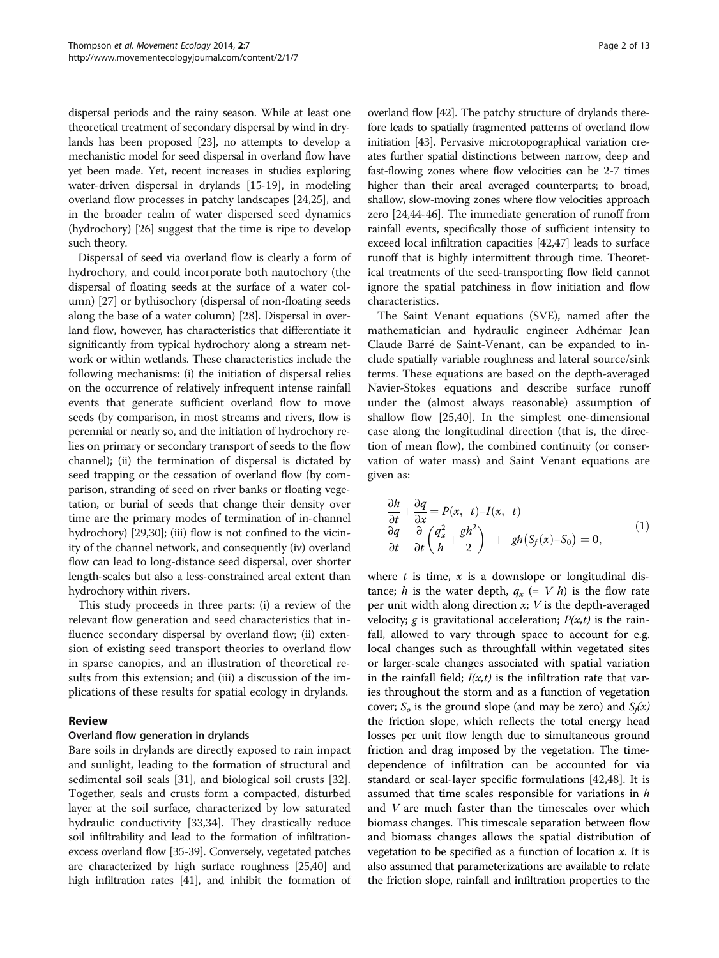<span id="page-1-0"></span>dispersal periods and the rainy season. While at least one theoretical treatment of secondary dispersal by wind in drylands has been proposed [\[23\]](#page-10-0), no attempts to develop a mechanistic model for seed dispersal in overland flow have yet been made. Yet, recent increases in studies exploring water-driven dispersal in drylands [\[15-19\]](#page-10-0), in modeling overland flow processes in patchy landscapes [[24,25](#page-10-0)], and in the broader realm of water dispersed seed dynamics (hydrochory) [\[26\]](#page-11-0) suggest that the time is ripe to develop such theory.

Dispersal of seed via overland flow is clearly a form of hydrochory, and could incorporate both nautochory (the dispersal of floating seeds at the surface of a water column) [\[27](#page-11-0)] or bythisochory (dispersal of non-floating seeds along the base of a water column) [\[28\]](#page-11-0). Dispersal in overland flow, however, has characteristics that differentiate it significantly from typical hydrochory along a stream network or within wetlands. These characteristics include the following mechanisms: (i) the initiation of dispersal relies on the occurrence of relatively infrequent intense rainfall events that generate sufficient overland flow to move seeds (by comparison, in most streams and rivers, flow is perennial or nearly so, and the initiation of hydrochory relies on primary or secondary transport of seeds to the flow channel); (ii) the termination of dispersal is dictated by seed trapping or the cessation of overland flow (by comparison, stranding of seed on river banks or floating vegetation, or burial of seeds that change their density over time are the primary modes of termination of in-channel hydrochory) [[29,30\]](#page-11-0); (iii) flow is not confined to the vicinity of the channel network, and consequently (iv) overland flow can lead to long-distance seed dispersal, over shorter length-scales but also a less-constrained areal extent than hydrochory within rivers.

This study proceeds in three parts: (i) a review of the relevant flow generation and seed characteristics that influence secondary dispersal by overland flow; (ii) extension of existing seed transport theories to overland flow in sparse canopies, and an illustration of theoretical results from this extension; and (iii) a discussion of the implications of these results for spatial ecology in drylands.

# Review

## Overland flow generation in drylands

Bare soils in drylands are directly exposed to rain impact and sunlight, leading to the formation of structural and sedimental soil seals [\[31](#page-11-0)], and biological soil crusts [\[32](#page-11-0)]. Together, seals and crusts form a compacted, disturbed layer at the soil surface, characterized by low saturated hydraulic conductivity [\[33,34](#page-11-0)]. They drastically reduce soil infiltrability and lead to the formation of infiltrationexcess overland flow [\[35-39\]](#page-11-0). Conversely, vegetated patches are characterized by high surface roughness [\[25](#page-10-0)[,40\]](#page-11-0) and high infiltration rates [\[41](#page-11-0)], and inhibit the formation of

overland flow [\[42\]](#page-11-0). The patchy structure of drylands therefore leads to spatially fragmented patterns of overland flow initiation [[43\]](#page-11-0). Pervasive microtopographical variation creates further spatial distinctions between narrow, deep and fast-flowing zones where flow velocities can be 2-7 times higher than their areal averaged counterparts; to broad, shallow, slow-moving zones where flow velocities approach zero [\[24,](#page-10-0)[44](#page-11-0)-[46](#page-11-0)]. The immediate generation of runoff from rainfall events, specifically those of sufficient intensity to exceed local infiltration capacities [[42,47](#page-11-0)] leads to surface runoff that is highly intermittent through time. Theoretical treatments of the seed-transporting flow field cannot ignore the spatial patchiness in flow initiation and flow characteristics.

The Saint Venant equations (SVE), named after the mathematician and hydraulic engineer Adhémar Jean Claude Barré de Saint-Venant, can be expanded to include spatially variable roughness and lateral source/sink terms. These equations are based on the depth-averaged Navier-Stokes equations and describe surface runoff under the (almost always reasonable) assumption of shallow flow [[25](#page-10-0),[40](#page-11-0)]. In the simplest one-dimensional case along the longitudinal direction (that is, the direction of mean flow), the combined continuity (or conservation of water mass) and Saint Venant equations are given as:

$$
\frac{\partial h}{\partial t} + \frac{\partial q}{\partial x} = P(x, t) - I(x, t) \n\frac{\partial q}{\partial t} + \frac{\partial}{\partial t} \left( \frac{q_x^2}{h} + \frac{gh^2}{2} \right) + gh(S_f(x) - S_0) = 0,
$$
\n(1)

where t is time,  $x$  is a downslope or longitudinal distance; h is the water depth,  $q_x$  (= V h) is the flow rate per unit width along direction  $x$ ;  $V$  is the depth-averaged velocity; g is gravitational acceleration;  $P(x,t)$  is the rainfall, allowed to vary through space to account for e.g. local changes such as throughfall within vegetated sites or larger-scale changes associated with spatial variation in the rainfall field;  $I(x,t)$  is the infiltration rate that varies throughout the storm and as a function of vegetation cover;  $S<sub>o</sub>$  is the ground slope (and may be zero) and  $S<sub>f</sub>(x)$ the friction slope, which reflects the total energy head losses per unit flow length due to simultaneous ground friction and drag imposed by the vegetation. The timedependence of infiltration can be accounted for via standard or seal-layer specific formulations [\[42,48](#page-11-0)]. It is assumed that time scales responsible for variations in  $h$ and  $V$  are much faster than the timescales over which biomass changes. This timescale separation between flow and biomass changes allows the spatial distribution of vegetation to be specified as a function of location  $x$ . It is also assumed that parameterizations are available to relate the friction slope, rainfall and infiltration properties to the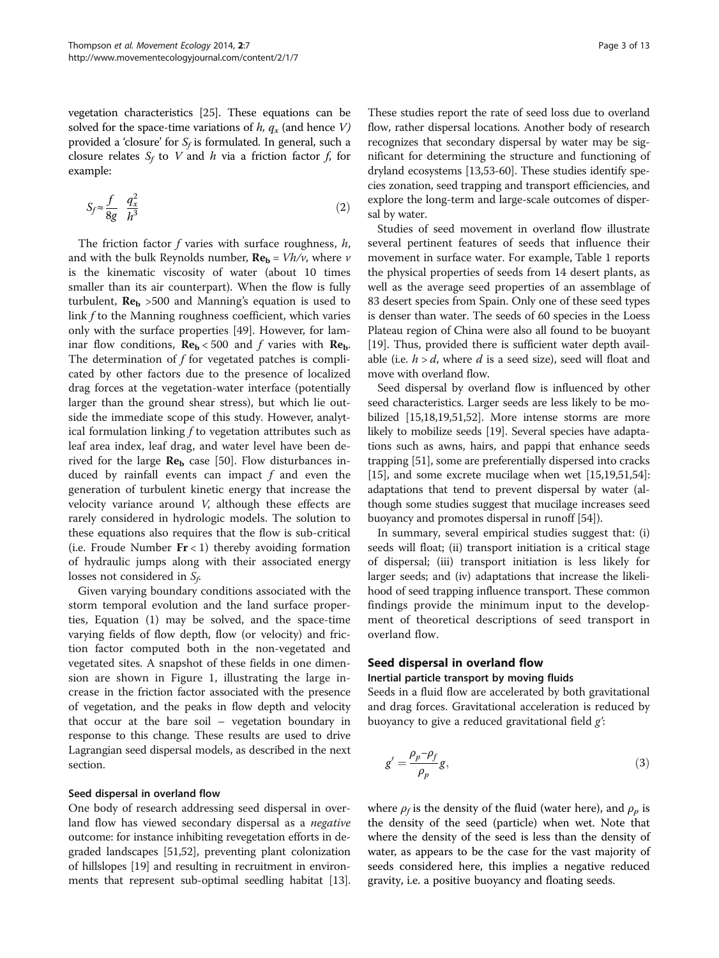vegetation characteristics [\[25\]](#page-10-0). These equations can be solved for the space-time variations of  $h$ ,  $q_x$  (and hence  $V$ ) provided a 'closure' for  $S_f$  is formulated. In general, such a closure relates  $S_f$  to V and h via a friction factor f, for example:

$$
S_f \approx \frac{f}{8g} \frac{q_x^2}{h^3} \tag{2}
$$

The friction factor  $f$  varies with surface roughness,  $h$ , and with the bulk Reynolds number,  $Re_b = V h/v$ , where  $v$ is the kinematic viscosity of water (about 10 times smaller than its air counterpart). When the flow is fully turbulent,  $\text{Re}_{b}$  >500 and Manning's equation is used to link f to the Manning roughness coefficient, which varies only with the surface properties [\[49\]](#page-11-0). However, for laminar flow conditions,  $Re_b < 500$  and f varies with  $Re_b$ . The determination of  $f$  for vegetated patches is complicated by other factors due to the presence of localized drag forces at the vegetation-water interface (potentially larger than the ground shear stress), but which lie outside the immediate scope of this study. However, analytical formulation linking  $f$  to vegetation attributes such as leaf area index, leaf drag, and water level have been derived for the large  $\text{Re}_{b}$  case [[50\]](#page-11-0). Flow disturbances induced by rainfall events can impact  $f$  and even the generation of turbulent kinetic energy that increase the velocity variance around V, although these effects are rarely considered in hydrologic models. The solution to these equations also requires that the flow is sub-critical (i.e. Froude Number  $Fr < 1$ ) thereby avoiding formation of hydraulic jumps along with their associated energy losses not considered in  $S_f$ .

Given varying boundary conditions associated with the storm temporal evolution and the land surface properties, Equation ([1\)](#page-1-0) may be solved, and the space-time varying fields of flow depth, flow (or velocity) and friction factor computed both in the non-vegetated and vegetated sites. A snapshot of these fields in one dimension are shown in Figure [1](#page-3-0), illustrating the large increase in the friction factor associated with the presence of vegetation, and the peaks in flow depth and velocity that occur at the bare soil – vegetation boundary in response to this change. These results are used to drive Lagrangian seed dispersal models, as described in the next section.

## Seed dispersal in overland flow

One body of research addressing seed dispersal in overland flow has viewed secondary dispersal as a *negative* outcome: for instance inhibiting revegetation efforts in degraded landscapes [\[51,52\]](#page-11-0), preventing plant colonization of hillslopes [\[19](#page-10-0)] and resulting in recruitment in environments that represent sub-optimal seedling habitat [[13](#page-10-0)].

These studies report the rate of seed loss due to overland flow, rather dispersal locations. Another body of research recognizes that secondary dispersal by water may be significant for determining the structure and functioning of dryland ecosystems [[13](#page-10-0)[,53](#page-11-0)-[60](#page-11-0)]. These studies identify species zonation, seed trapping and transport efficiencies, and explore the long-term and large-scale outcomes of dispersal by water.

Studies of seed movement in overland flow illustrate several pertinent features of seeds that influence their movement in surface water. For example, Table [1](#page-3-0) reports the physical properties of seeds from 14 desert plants, as well as the average seed properties of an assemblage of 83 desert species from Spain. Only one of these seed types is denser than water. The seeds of 60 species in the Loess Plateau region of China were also all found to be buoyant [[19](#page-10-0)]. Thus, provided there is sufficient water depth available (i.e.  $h > d$ , where d is a seed size), seed will float and move with overland flow.

Seed dispersal by overland flow is influenced by other seed characteristics. Larger seeds are less likely to be mobilized [\[15,18,19](#page-10-0)[,51,52\]](#page-11-0). More intense storms are more likely to mobilize seeds [[19](#page-10-0)]. Several species have adaptations such as awns, hairs, and pappi that enhance seeds trapping [\[51\]](#page-11-0), some are preferentially dispersed into cracks [[15](#page-10-0)], and some excrete mucilage when wet [[15,19](#page-10-0)[,51,54](#page-11-0)]: adaptations that tend to prevent dispersal by water (although some studies suggest that mucilage increases seed buoyancy and promotes dispersal in runoff [\[54](#page-11-0)]).

In summary, several empirical studies suggest that: (i) seeds will float; (ii) transport initiation is a critical stage of dispersal; (iii) transport initiation is less likely for larger seeds; and (iv) adaptations that increase the likelihood of seed trapping influence transport. These common findings provide the minimum input to the development of theoretical descriptions of seed transport in overland flow.

# Seed dispersal in overland flow

## Inertial particle transport by moving fluids

Seeds in a fluid flow are accelerated by both gravitational and drag forces. Gravitational acceleration is reduced by buoyancy to give a reduced gravitational field g':

$$
g' = \frac{\rho_p - \rho_f}{\rho_p} g,\tag{3}
$$

where  $\rho_f$  is the density of the fluid (water here), and  $\rho_p$  is the density of the seed (particle) when wet. Note that where the density of the seed is less than the density of water, as appears to be the case for the vast majority of seeds considered here, this implies a negative reduced gravity, i.e. a positive buoyancy and floating seeds.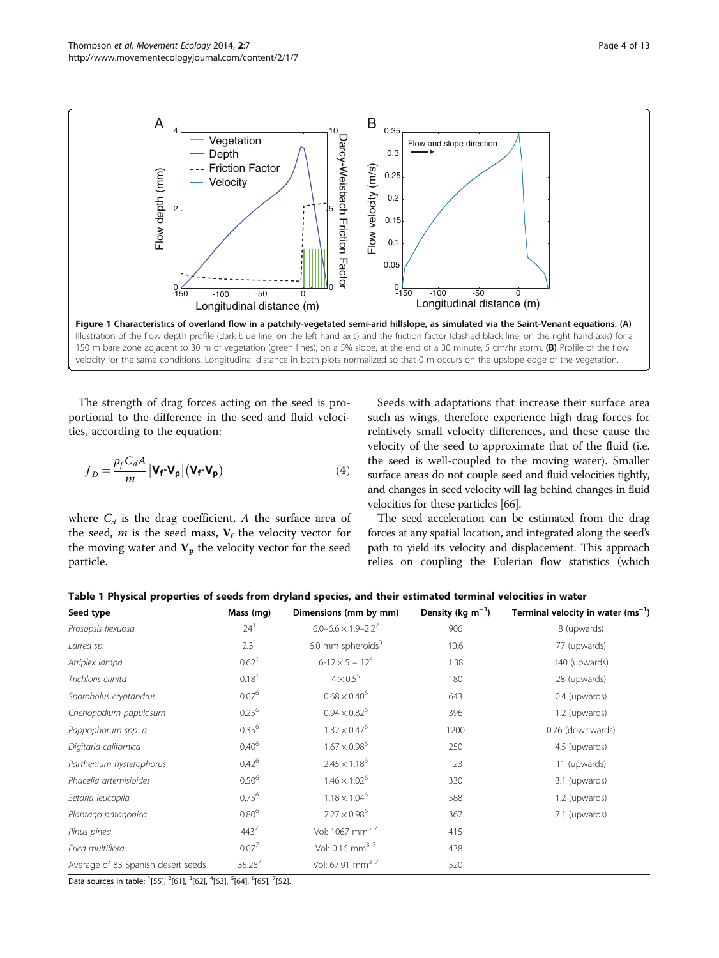<span id="page-3-0"></span>

The strength of drag forces acting on the seed is proportional to the difference in the seed and fluid velocities, according to the equation:

$$
f_D = \frac{\rho_f C_d A}{m} |\mathbf{V_f} \cdot \mathbf{V_p}| (\mathbf{V_f} \cdot \mathbf{V_p})
$$
\n(4)

where  $C_d$  is the drag coefficient, A the surface area of the seed,  $m$  is the seed mass,  $V_f$  the velocity vector for the moving water and  $V_p$  the velocity vector for the seed particle.

Seeds with adaptations that increase their surface area such as wings, therefore experience high drag forces for relatively small velocity differences, and these cause the velocity of the seed to approximate that of the fluid (i.e. the seed is well-coupled to the moving water). Smaller surface areas do not couple seed and fluid velocities tightly, and changes in seed velocity will lag behind changes in fluid velocities for these particles [\[66\]](#page-11-0).

The seed acceleration can be estimated from the drag forces at any spatial location, and integrated along the seed's path to yield its velocity and displacement. This approach relies on coupling the Eulerian flow statistics (which

| Table 1 Physical properties of seeds from dryland species, and their estimated terminal velocities in water |                                                                             |  |
|-------------------------------------------------------------------------------------------------------------|-----------------------------------------------------------------------------|--|
| Sood tyno                                                                                                   | Mass $(mg)$ Dimensions $(mm)$ Density $(kg m^{-3})$ Terminal velocity in we |  |

| Seed type                          | Mass (mg)         | Dimensions (mm by mm)          | Density (kg $m^{-3}$ ) | Terminal velocity in water $(ms^{-1})$ |
|------------------------------------|-------------------|--------------------------------|------------------------|----------------------------------------|
| Prosopsis flexuosa                 | $24^{1}$          | $6.0 - 6.6 \times 1.9 - 2.2^2$ | 906                    | 8 (upwards)                            |
| Larrea sp.                         | 2.3 <sup>1</sup>  | 6.0 mm spheroids $3$           | 10.6                   | 77 (upwards)                           |
| Atriplex lampa                     | 0.62 <sup>1</sup> | $6 - 12 \times 5 - 12^4$       | 1.38                   | 140 (upwards)                          |
| Trichloris crinita                 | $0.18^{1}$        | $4 \times 0.5^{5}$             | 180                    | 28 (upwards)                           |
| Sporobolus cryptandrus             | $0.07^6$          | $0.68 \times 0.40^{6}$         | 643                    | 0.4 (upwards)                          |
| Chenopodium papulosum              | $0.25^{6}$        | $0.94 \times 0.82^6$           | 396                    | 1.2 (upwards)                          |
| Pappophorum spp. a                 | $0.35^{6}$        | $1.32 \times 0.47^{6}$         | 1200                   | 0.76 (downwards)                       |
| Digitaria californica              | $0.40^{6}$        | $1.67 \times 0.98^{6}$         | 250                    | 4.5 (upwards)                          |
| Parthenium hysterophorus           | $0.42^{6}$        | $2.45 \times 1.18^{6}$         | 123                    | 11 (upwards)                           |
| Phacelia artemisioides             | $0.50^{6}$        | $1.46 \times 1.02^6$           | 330                    | 3.1 (upwards)                          |
| Setaria leucopila                  | $0.75^6$          | $1.18 \times 1.04^{6}$         | 588                    | 1.2 (upwards)                          |
| Plantago patagonica                | $0.80^{6}$        | $2.27 \times 0.98^{6}$         | 367                    | 7.1 (upwards)                          |
| Pinus pinea                        | $443^7$           | Vol: 1067 mm <sup>37</sup>     | 415                    |                                        |
| Erica multiflora                   | $0.07^{7}$        | Vol: 0.16 mm <sup>37</sup>     | 438                    |                                        |
| Average of 83 Spanish desert seeds | $35.28^{7}$       | Vol: 67.91 mm <sup>37</sup>    | 520                    |                                        |

Data sources in table: <sup>1</sup>[[55](#page-11-0)], <sup>2</sup>[\[61](#page-11-0)], <sup>3</sup>[\[62\]](#page-11-0), <sup>4</sup>[[63\]](#page-11-0), <sup>5</sup>[[64](#page-11-0)], <sup>6</sup>[\[65](#page-11-0)], <sup>7</sup>[\[52\]](#page-11-0).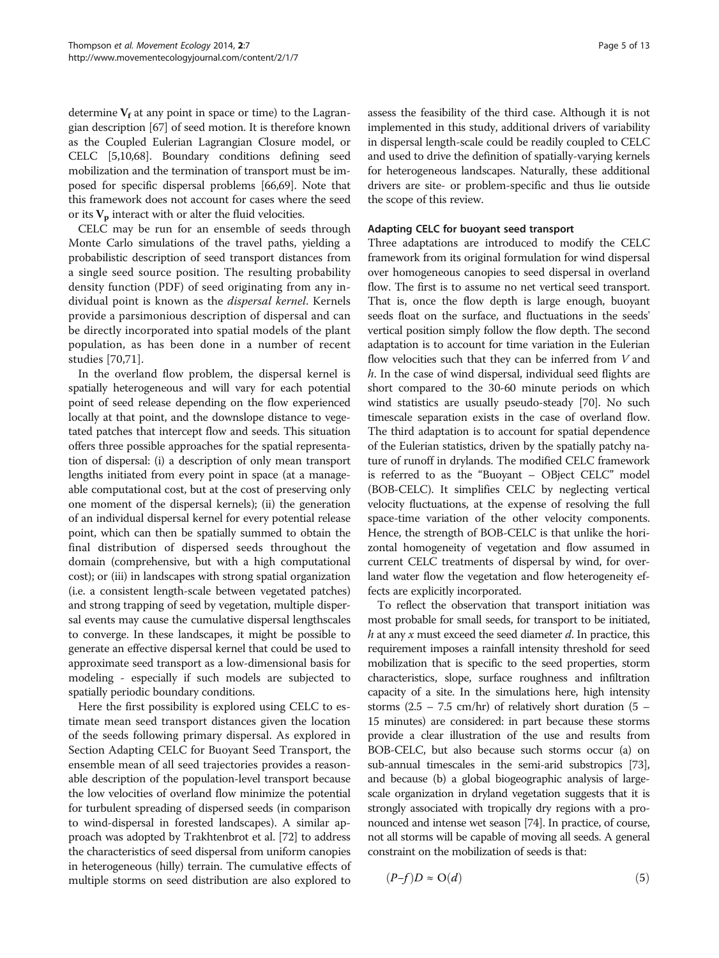determine  $V_f$  at any point in space or time) to the Lagrangian description [\[67](#page-11-0)] of seed motion. It is therefore known as the Coupled Eulerian Lagrangian Closure model, or CELC [\[5,10,](#page-10-0)[68\]](#page-11-0). Boundary conditions defining seed mobilization and the termination of transport must be imposed for specific dispersal problems [\[66,69\]](#page-11-0). Note that this framework does not account for cases where the seed or its  $V_p$  interact with or alter the fluid velocities.

CELC may be run for an ensemble of seeds through Monte Carlo simulations of the travel paths, yielding a probabilistic description of seed transport distances from a single seed source position. The resulting probability density function (PDF) of seed originating from any individual point is known as the dispersal kernel. Kernels provide a parsimonious description of dispersal and can be directly incorporated into spatial models of the plant population, as has been done in a number of recent studies [\[70](#page-11-0),[71\]](#page-11-0).

In the overland flow problem, the dispersal kernel is spatially heterogeneous and will vary for each potential point of seed release depending on the flow experienced locally at that point, and the downslope distance to vegetated patches that intercept flow and seeds. This situation offers three possible approaches for the spatial representation of dispersal: (i) a description of only mean transport lengths initiated from every point in space (at a manageable computational cost, but at the cost of preserving only one moment of the dispersal kernels); (ii) the generation of an individual dispersal kernel for every potential release point, which can then be spatially summed to obtain the final distribution of dispersed seeds throughout the domain (comprehensive, but with a high computational cost); or (iii) in landscapes with strong spatial organization (i.e. a consistent length-scale between vegetated patches) and strong trapping of seed by vegetation, multiple dispersal events may cause the cumulative dispersal lengthscales to converge. In these landscapes, it might be possible to generate an effective dispersal kernel that could be used to approximate seed transport as a low-dimensional basis for modeling - especially if such models are subjected to spatially periodic boundary conditions.

Here the first possibility is explored using CELC to estimate mean seed transport distances given the location of the seeds following primary dispersal. As explored in Section Adapting CELC for Buoyant Seed Transport, the ensemble mean of all seed trajectories provides a reasonable description of the population-level transport because the low velocities of overland flow minimize the potential for turbulent spreading of dispersed seeds (in comparison to wind-dispersal in forested landscapes). A similar approach was adopted by Trakhtenbrot et al. [\[72\]](#page-11-0) to address the characteristics of seed dispersal from uniform canopies in heterogeneous (hilly) terrain. The cumulative effects of multiple storms on seed distribution are also explored to

assess the feasibility of the third case. Although it is not implemented in this study, additional drivers of variability in dispersal length-scale could be readily coupled to CELC and used to drive the definition of spatially-varying kernels for heterogeneous landscapes. Naturally, these additional drivers are site- or problem-specific and thus lie outside the scope of this review.

### Adapting CELC for buoyant seed transport

Three adaptations are introduced to modify the CELC framework from its original formulation for wind dispersal over homogeneous canopies to seed dispersal in overland flow. The first is to assume no net vertical seed transport. That is, once the flow depth is large enough, buoyant seeds float on the surface, and fluctuations in the seeds' vertical position simply follow the flow depth. The second adaptation is to account for time variation in the Eulerian flow velocities such that they can be inferred from  $V$  and h. In the case of wind dispersal, individual seed flights are short compared to the 30-60 minute periods on which wind statistics are usually pseudo-steady [[70](#page-11-0)]. No such timescale separation exists in the case of overland flow. The third adaptation is to account for spatial dependence of the Eulerian statistics, driven by the spatially patchy nature of runoff in drylands. The modified CELC framework is referred to as the "Buoyant – OBject CELC" model (BOB-CELC). It simplifies CELC by neglecting vertical velocity fluctuations, at the expense of resolving the full space-time variation of the other velocity components. Hence, the strength of BOB-CELC is that unlike the horizontal homogeneity of vegetation and flow assumed in current CELC treatments of dispersal by wind, for overland water flow the vegetation and flow heterogeneity effects are explicitly incorporated.

To reflect the observation that transport initiation was most probable for small seeds, for transport to be initiated, h at any x must exceed the seed diameter d. In practice, this requirement imposes a rainfall intensity threshold for seed mobilization that is specific to the seed properties, storm characteristics, slope, surface roughness and infiltration capacity of a site. In the simulations here, high intensity storms  $(2.5 - 7.5 \text{ cm/hr})$  of relatively short duration  $(5 -$ 15 minutes) are considered: in part because these storms provide a clear illustration of the use and results from BOB-CELC, but also because such storms occur (a) on sub-annual timescales in the semi-arid substropics [\[73](#page-11-0)], and because (b) a global biogeographic analysis of largescale organization in dryland vegetation suggests that it is strongly associated with tropically dry regions with a pronounced and intense wet season [\[74\]](#page-11-0). In practice, of course, not all storms will be capable of moving all seeds. A general constraint on the mobilization of seeds is that:

$$
(P-f)D \approx \mathcal{O}(d) \tag{5}
$$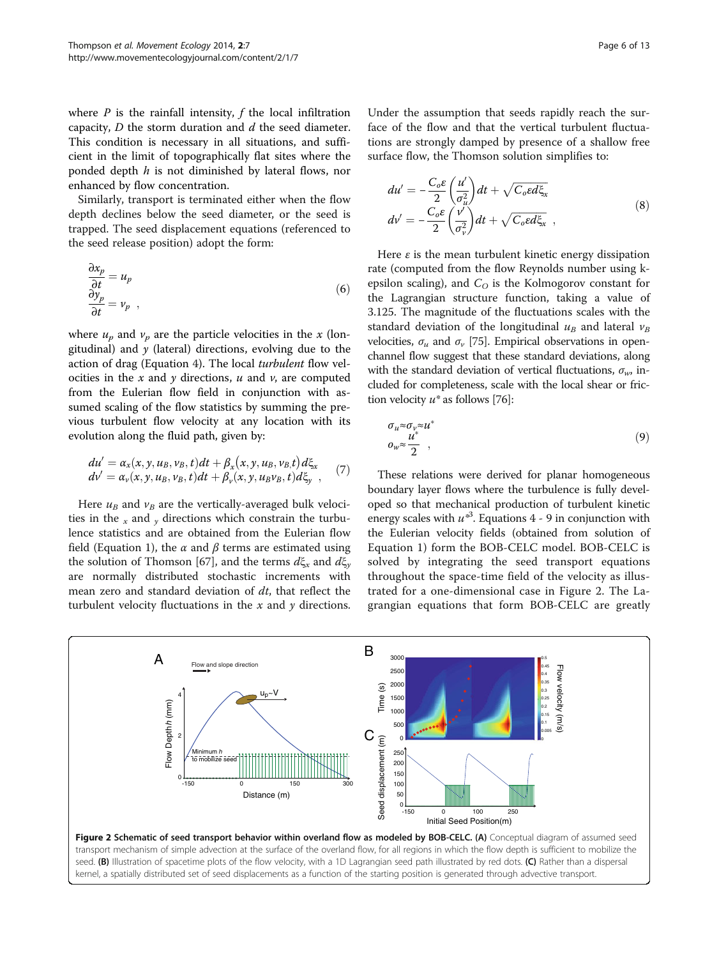<span id="page-5-0"></span>where  $P$  is the rainfall intensity,  $f$  the local infiltration capacity,  $D$  the storm duration and  $d$  the seed diameter. This condition is necessary in all situations, and sufficient in the limit of topographically flat sites where the ponded depth  $h$  is not diminished by lateral flows, nor enhanced by flow concentration.

Similarly, transport is terminated either when the flow depth declines below the seed diameter, or the seed is trapped. The seed displacement equations (referenced to the seed release position) adopt the form:

$$
\frac{\partial x_p}{\partial t} = u_p \n\frac{\partial y_p}{\partial t} = v_p
$$
\n(6)

where  $u_p$  and  $v_p$  are the particle velocities in the x (longitudinal) and  $y$  (lateral) directions, evolving due to the action of drag (Equation [4\)](#page-3-0). The local turbulent flow velocities in the  $x$  and  $y$  directions,  $u$  and  $v$ , are computed from the Eulerian flow field in conjunction with assumed scaling of the flow statistics by summing the previous turbulent flow velocity at any location with its evolution along the fluid path, given by:

$$
du' = \alpha_x(x, y, u_B, v_B, t)dt + \beta_x(x, y, u_B, v_B, t)d\xi_x
$$
  
\n
$$
dv' = \alpha_v(x, y, u_B, v_B, t)dt + \beta_v(x, y, u_Bv_B, t)d\xi_y
$$
 (7)

Here  $u_B$  and  $v_B$  are the vertically-averaged bulk velocities in the  $_x$  and  $_y$  directions which constrain the turbulence statistics and are obtained from the Eulerian flow field (Equation [1](#page-1-0)), the  $\alpha$  and  $\beta$  terms are estimated using the solution of Thomson [\[67](#page-11-0)], and the terms  $d\xi_x$  and  $d\xi_y$ are normally distributed stochastic increments with mean zero and standard deviation of dt, that reflect the turbulent velocity fluctuations in the  $x$  and  $y$  directions.

Under the assumption that seeds rapidly reach the surface of the flow and that the vertical turbulent fluctuations are strongly damped by presence of a shallow free surface flow, the Thomson solution simplifies to:

$$
du' = -\frac{C_o \varepsilon}{2} \left(\frac{u'}{\sigma_u^2}\right) dt + \sqrt{C_o \varepsilon d_{xx}^2}
$$
  
\n
$$
dv' = -\frac{C_o \varepsilon}{2} \left(\frac{v'}{\sigma_v^2}\right) dt + \sqrt{C_o \varepsilon d_{xx}^2},
$$
\n(8)

Here  $\varepsilon$  is the mean turbulent kinetic energy dissipation rate (computed from the flow Reynolds number using kepsilon scaling), and  $C_O$  is the Kolmogorov constant for the Lagrangian structure function, taking a value of 3.125. The magnitude of the fluctuations scales with the standard deviation of the longitudinal  $u_B$  and lateral  $v_B$ velocities,  $\sigma_u$  and  $\sigma_v$  [\[75\]](#page-11-0). Empirical observations in openchannel flow suggest that these standard deviations, along with the standard deviation of vertical fluctuations,  $\sigma_{\omega}$ , included for completeness, scale with the local shear or friction velocity  $u^*$  as follows [\[76](#page-11-0)]:

$$
\sigma_u \approx \sigma_v \approx u^* \n\sigma_w \approx \frac{u^*}{2} ,
$$
\n(9)

These relations were derived for planar homogeneous boundary layer flows where the turbulence is fully developed so that mechanical production of turbulent kinetic energy scales with  $u^{*3}$ . Equations [4](#page-3-0) - 9 in conjunction with the Eulerian velocity fields (obtained from solution of Equation [1\)](#page-1-0) form the BOB-CELC model. BOB-CELC is solved by integrating the seed transport equations throughout the space-time field of the velocity as illustrated for a one-dimensional case in Figure 2. The Lagrangian equations that form BOB-CELC are greatly

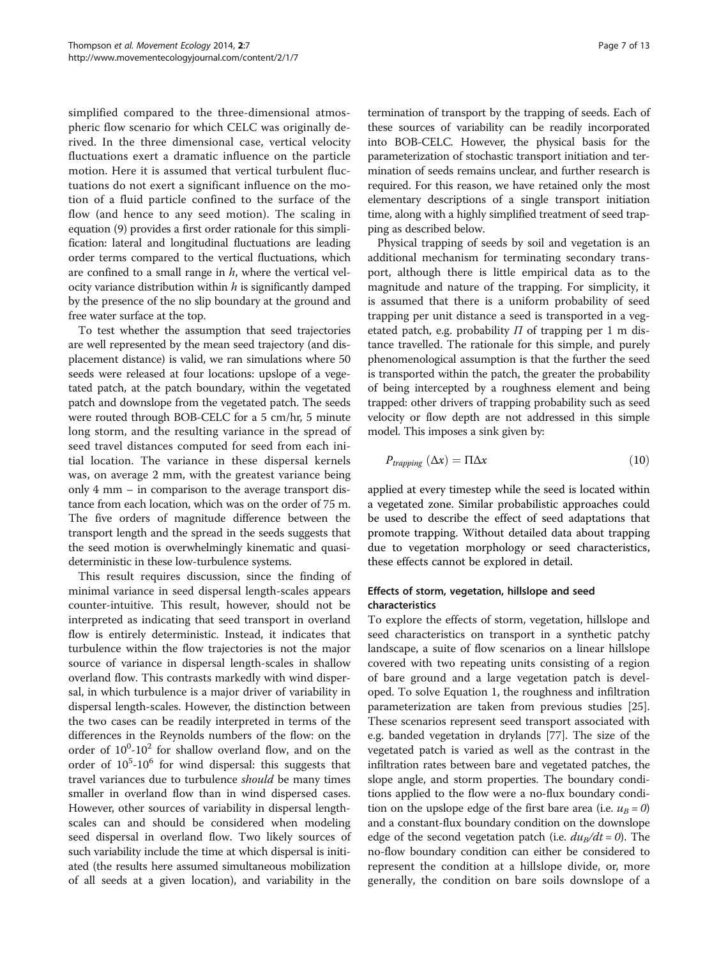simplified compared to the three-dimensional atmospheric flow scenario for which CELC was originally derived. In the three dimensional case, vertical velocity fluctuations exert a dramatic influence on the particle motion. Here it is assumed that vertical turbulent fluctuations do not exert a significant influence on the motion of a fluid particle confined to the surface of the flow (and hence to any seed motion). The scaling in equation [\(9](#page-5-0)) provides a first order rationale for this simplification: lateral and longitudinal fluctuations are leading order terms compared to the vertical fluctuations, which are confined to a small range in  $h$ , where the vertical velocity variance distribution within  $h$  is significantly damped by the presence of the no slip boundary at the ground and free water surface at the top.

To test whether the assumption that seed trajectories are well represented by the mean seed trajectory (and displacement distance) is valid, we ran simulations where 50 seeds were released at four locations: upslope of a vegetated patch, at the patch boundary, within the vegetated patch and downslope from the vegetated patch. The seeds were routed through BOB-CELC for a 5 cm/hr, 5 minute long storm, and the resulting variance in the spread of seed travel distances computed for seed from each initial location. The variance in these dispersal kernels was, on average 2 mm, with the greatest variance being only 4 mm – in comparison to the average transport distance from each location, which was on the order of 75 m. The five orders of magnitude difference between the transport length and the spread in the seeds suggests that the seed motion is overwhelmingly kinematic and quasideterministic in these low-turbulence systems.

This result requires discussion, since the finding of minimal variance in seed dispersal length-scales appears counter-intuitive. This result, however, should not be interpreted as indicating that seed transport in overland flow is entirely deterministic. Instead, it indicates that turbulence within the flow trajectories is not the major source of variance in dispersal length-scales in shallow overland flow. This contrasts markedly with wind dispersal, in which turbulence is a major driver of variability in dispersal length-scales. However, the distinction between the two cases can be readily interpreted in terms of the differences in the Reynolds numbers of the flow: on the order of  $10^0$ - $10^2$  for shallow overland flow, and on the order of  $10^5$ -10<sup>6</sup> for wind dispersal: this suggests that travel variances due to turbulence should be many times smaller in overland flow than in wind dispersed cases. However, other sources of variability in dispersal lengthscales can and should be considered when modeling seed dispersal in overland flow. Two likely sources of such variability include the time at which dispersal is initiated (the results here assumed simultaneous mobilization of all seeds at a given location), and variability in the

termination of transport by the trapping of seeds. Each of these sources of variability can be readily incorporated into BOB-CELC. However, the physical basis for the parameterization of stochastic transport initiation and termination of seeds remains unclear, and further research is required. For this reason, we have retained only the most elementary descriptions of a single transport initiation time, along with a highly simplified treatment of seed trapping as described below.

Physical trapping of seeds by soil and vegetation is an additional mechanism for terminating secondary transport, although there is little empirical data as to the magnitude and nature of the trapping. For simplicity, it is assumed that there is a uniform probability of seed trapping per unit distance a seed is transported in a vegetated patch, e.g. probability  $\Pi$  of trapping per 1 m distance travelled. The rationale for this simple, and purely phenomenological assumption is that the further the seed is transported within the patch, the greater the probability of being intercepted by a roughness element and being trapped: other drivers of trapping probability such as seed velocity or flow depth are not addressed in this simple model. This imposes a sink given by:

$$
P_{trapping} (\Delta x) = \Pi \Delta x \tag{10}
$$

applied at every timestep while the seed is located within a vegetated zone. Similar probabilistic approaches could be used to describe the effect of seed adaptations that promote trapping. Without detailed data about trapping due to vegetation morphology or seed characteristics, these effects cannot be explored in detail.

# Effects of storm, vegetation, hillslope and seed characteristics

To explore the effects of storm, vegetation, hillslope and seed characteristics on transport in a synthetic patchy landscape, a suite of flow scenarios on a linear hillslope covered with two repeating units consisting of a region of bare ground and a large vegetation patch is developed. To solve Equation [1](#page-1-0), the roughness and infiltration parameterization are taken from previous studies [\[25](#page-10-0)]. These scenarios represent seed transport associated with e.g. banded vegetation in drylands [\[77](#page-11-0)]. The size of the vegetated patch is varied as well as the contrast in the infiltration rates between bare and vegetated patches, the slope angle, and storm properties. The boundary conditions applied to the flow were a no-flux boundary condition on the upslope edge of the first bare area (i.e.  $u_B = 0$ ) and a constant-flux boundary condition on the downslope edge of the second vegetation patch (i.e.  $du_B/dt = 0$ ). The no-flow boundary condition can either be considered to represent the condition at a hillslope divide, or, more generally, the condition on bare soils downslope of a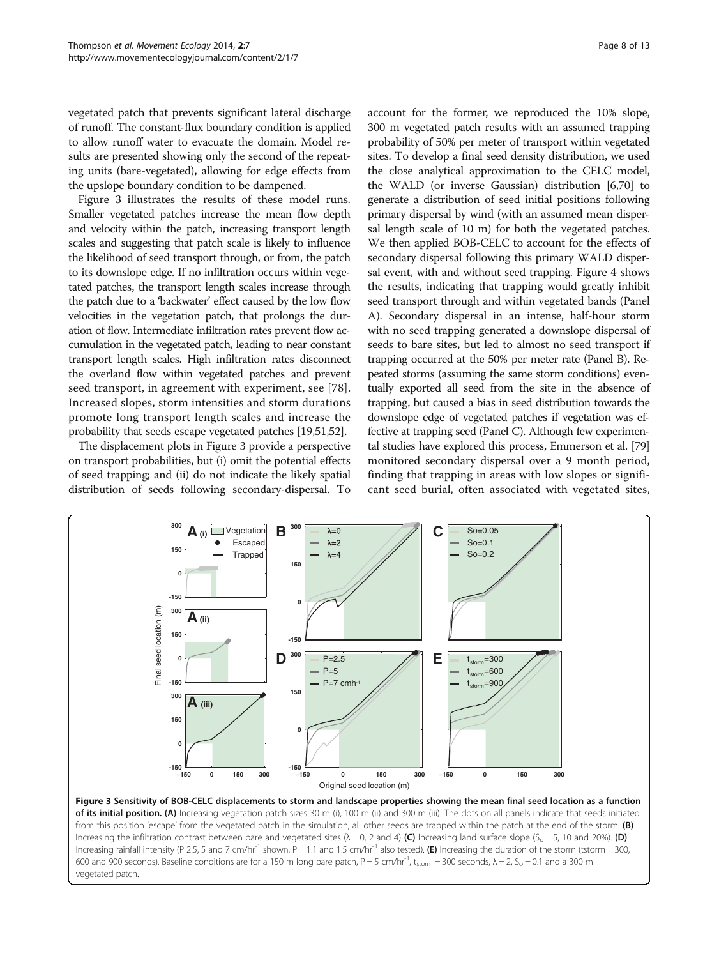vegetated patch that prevents significant lateral discharge of runoff. The constant-flux boundary condition is applied to allow runoff water to evacuate the domain. Model results are presented showing only the second of the repeating units (bare-vegetated), allowing for edge effects from the upslope boundary condition to be dampened.

Figure 3 illustrates the results of these model runs. Smaller vegetated patches increase the mean flow depth and velocity within the patch, increasing transport length scales and suggesting that patch scale is likely to influence the likelihood of seed transport through, or from, the patch to its downslope edge. If no infiltration occurs within vegetated patches, the transport length scales increase through the patch due to a 'backwater' effect caused by the low flow velocities in the vegetation patch, that prolongs the duration of flow. Intermediate infiltration rates prevent flow accumulation in the vegetated patch, leading to near constant transport length scales. High infiltration rates disconnect the overland flow within vegetated patches and prevent seed transport, in agreement with experiment, see [[78](#page-11-0)]. Increased slopes, storm intensities and storm durations promote long transport length scales and increase the probability that seeds escape vegetated patches [\[19,](#page-10-0)[51,52](#page-11-0)].

The displacement plots in Figure 3 provide a perspective on transport probabilities, but (i) omit the potential effects of seed trapping; and (ii) do not indicate the likely spatial distribution of seeds following secondary-dispersal. To

account for the former, we reproduced the 10% slope, 300 m vegetated patch results with an assumed trapping probability of 50% per meter of transport within vegetated sites. To develop a final seed density distribution, we used the close analytical approximation to the CELC model, the WALD (or inverse Gaussian) distribution [[6,](#page-10-0)[70](#page-11-0)] to generate a distribution of seed initial positions following primary dispersal by wind (with an assumed mean dispersal length scale of 10 m) for both the vegetated patches. We then applied BOB-CELC to account for the effects of secondary dispersal following this primary WALD dispersal event, with and without seed trapping. Figure [4](#page-8-0) shows the results, indicating that trapping would greatly inhibit seed transport through and within vegetated bands (Panel A). Secondary dispersal in an intense, half-hour storm with no seed trapping generated a downslope dispersal of seeds to bare sites, but led to almost no seed transport if trapping occurred at the 50% per meter rate (Panel B). Repeated storms (assuming the same storm conditions) eventually exported all seed from the site in the absence of trapping, but caused a bias in seed distribution towards the downslope edge of vegetated patches if vegetation was effective at trapping seed (Panel C). Although few experimental studies have explored this process, Emmerson et al. [\[79](#page-11-0)] monitored secondary dispersal over a 9 month period, finding that trapping in areas with low slopes or significant seed burial, often associated with vegetated sites,



Increasing the infiltration contrast between bare and vegetated sites ( $\lambda = 0$ , 2 and 4) (C) Increasing land surface slope ( $S_0 = 5$ , 10 and 20%). (D) Increasing rainfall intensity (P 2.5, 5 and 7 cm/hr<sup>-1</sup> shown, P = 1.1 and 1.5 cm/hr<sup>-1</sup> also tested). (E) Increasing the duration of the storm (tstorm = 300, 600 and 900 seconds). Baseline conditions are for a 150 m long bare patch,  $P = 5$  cm/hr<sup>-1</sup>, t<sub>storm</sub> = 300 seconds,  $\lambda = 2$ ,  $S_0 = 0.1$  and a 300 m vegetated patch.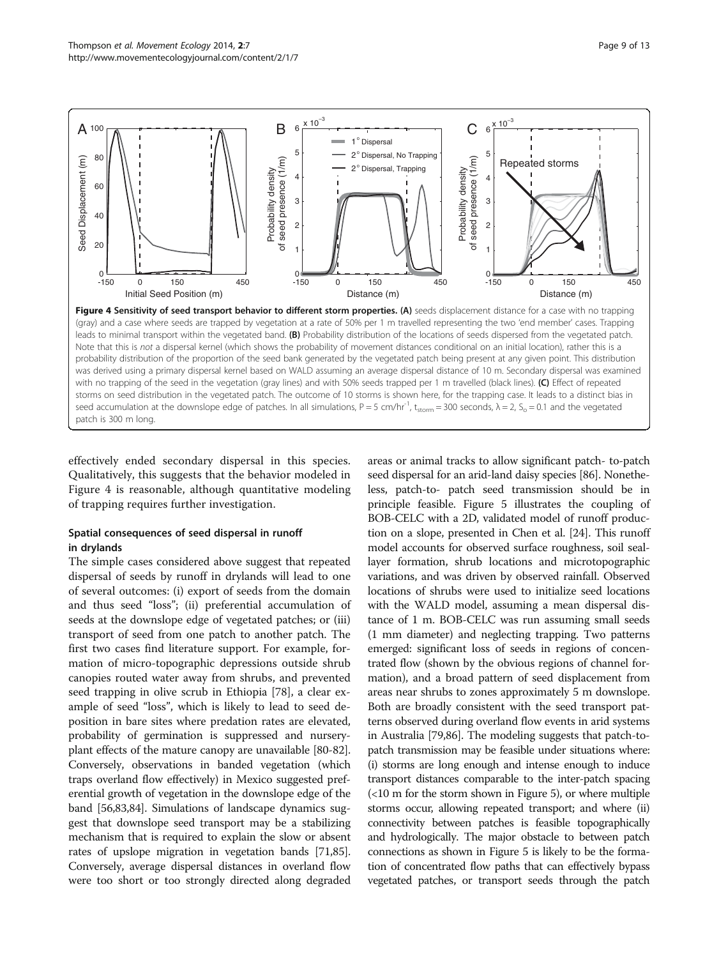<span id="page-8-0"></span>

with no trapping of the seed in the vegetation (gray lines) and with 50% seeds trapped per 1 m travelled (black lines). (C) Effect of repeated storms on seed distribution in the vegetated patch. The outcome of 10 storms is shown here, for the trapping case. It leads to a distinct bias in seed accumulation at the downslope edge of patches. In all simulations,  $P = 5$  cm/hr<sup>-1</sup>, t<sub>storm</sub> = 300 seconds,  $\lambda = 2$ ,  $S_0 = 0.1$  and the vegetated patch is 300 m long.

effectively ended secondary dispersal in this species. Qualitatively, this suggests that the behavior modeled in Figure 4 is reasonable, although quantitative modeling of trapping requires further investigation.

# Spatial consequences of seed dispersal in runoff in drylands

The simple cases considered above suggest that repeated dispersal of seeds by runoff in drylands will lead to one of several outcomes: (i) export of seeds from the domain and thus seed "loss"; (ii) preferential accumulation of seeds at the downslope edge of vegetated patches; or (iii) transport of seed from one patch to another patch. The first two cases find literature support. For example, formation of micro-topographic depressions outside shrub canopies routed water away from shrubs, and prevented seed trapping in olive scrub in Ethiopia [\[78\]](#page-11-0), a clear example of seed "loss", which is likely to lead to seed deposition in bare sites where predation rates are elevated, probability of germination is suppressed and nurseryplant effects of the mature canopy are unavailable [[80](#page-12-0)-[82](#page-12-0)]. Conversely, observations in banded vegetation (which traps overland flow effectively) in Mexico suggested preferential growth of vegetation in the downslope edge of the band [[56](#page-11-0)[,83,84\]](#page-12-0). Simulations of landscape dynamics suggest that downslope seed transport may be a stabilizing mechanism that is required to explain the slow or absent rates of upslope migration in vegetation bands [\[71,](#page-11-0)[85](#page-12-0)]. Conversely, average dispersal distances in overland flow were too short or too strongly directed along degraded

areas or animal tracks to allow significant patch- to-patch seed dispersal for an arid-land daisy species [\[86\]](#page-12-0). Nonetheless, patch-to- patch seed transmission should be in principle feasible. Figure [5](#page-9-0) illustrates the coupling of BOB-CELC with a 2D, validated model of runoff production on a slope, presented in Chen et al. [[24](#page-10-0)]. This runoff model accounts for observed surface roughness, soil seallayer formation, shrub locations and microtopographic variations, and was driven by observed rainfall. Observed locations of shrubs were used to initialize seed locations with the WALD model, assuming a mean dispersal distance of 1 m. BOB-CELC was run assuming small seeds (1 mm diameter) and neglecting trapping. Two patterns emerged: significant loss of seeds in regions of concentrated flow (shown by the obvious regions of channel formation), and a broad pattern of seed displacement from areas near shrubs to zones approximately 5 m downslope. Both are broadly consistent with the seed transport patterns observed during overland flow events in arid systems in Australia [[79](#page-11-0)[,86\]](#page-12-0). The modeling suggests that patch-topatch transmission may be feasible under situations where: (i) storms are long enough and intense enough to induce transport distances comparable to the inter-patch spacing (<10 m for the storm shown in Figure [5\)](#page-9-0), or where multiple storms occur, allowing repeated transport; and where (ii) connectivity between patches is feasible topographically and hydrologically. The major obstacle to between patch connections as shown in Figure [5](#page-9-0) is likely to be the formation of concentrated flow paths that can effectively bypass vegetated patches, or transport seeds through the patch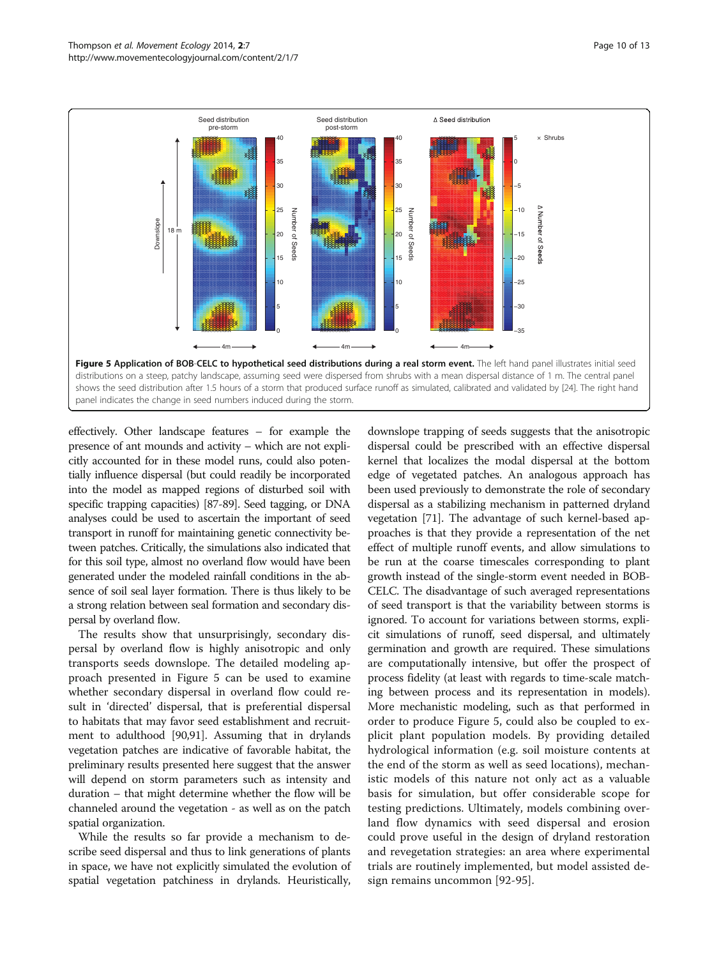<span id="page-9-0"></span>

effectively. Other landscape features – for example the presence of ant mounds and activity – which are not explicitly accounted for in these model runs, could also potentially influence dispersal (but could readily be incorporated into the model as mapped regions of disturbed soil with specific trapping capacities) [[87-89\]](#page-12-0). Seed tagging, or DNA analyses could be used to ascertain the important of seed transport in runoff for maintaining genetic connectivity between patches. Critically, the simulations also indicated that for this soil type, almost no overland flow would have been generated under the modeled rainfall conditions in the absence of soil seal layer formation. There is thus likely to be a strong relation between seal formation and secondary dispersal by overland flow.

The results show that unsurprisingly, secondary dispersal by overland flow is highly anisotropic and only transports seeds downslope. The detailed modeling approach presented in Figure 5 can be used to examine whether secondary dispersal in overland flow could result in 'directed' dispersal, that is preferential dispersal to habitats that may favor seed establishment and recruitment to adulthood [\[90,91\]](#page-12-0). Assuming that in drylands vegetation patches are indicative of favorable habitat, the preliminary results presented here suggest that the answer will depend on storm parameters such as intensity and duration – that might determine whether the flow will be channeled around the vegetation - as well as on the patch spatial organization.

While the results so far provide a mechanism to describe seed dispersal and thus to link generations of plants in space, we have not explicitly simulated the evolution of spatial vegetation patchiness in drylands. Heuristically,

downslope trapping of seeds suggests that the anisotropic dispersal could be prescribed with an effective dispersal kernel that localizes the modal dispersal at the bottom edge of vegetated patches. An analogous approach has been used previously to demonstrate the role of secondary dispersal as a stabilizing mechanism in patterned dryland vegetation [\[71\]](#page-11-0). The advantage of such kernel-based approaches is that they provide a representation of the net effect of multiple runoff events, and allow simulations to be run at the coarse timescales corresponding to plant growth instead of the single-storm event needed in BOB-CELC. The disadvantage of such averaged representations of seed transport is that the variability between storms is ignored. To account for variations between storms, explicit simulations of runoff, seed dispersal, and ultimately germination and growth are required. These simulations are computationally intensive, but offer the prospect of process fidelity (at least with regards to time-scale matching between process and its representation in models). More mechanistic modeling, such as that performed in order to produce Figure 5, could also be coupled to explicit plant population models. By providing detailed hydrological information (e.g. soil moisture contents at the end of the storm as well as seed locations), mechanistic models of this nature not only act as a valuable basis for simulation, but offer considerable scope for testing predictions. Ultimately, models combining overland flow dynamics with seed dispersal and erosion could prove useful in the design of dryland restoration and revegetation strategies: an area where experimental trials are routinely implemented, but model assisted design remains uncommon [[92-95](#page-12-0)].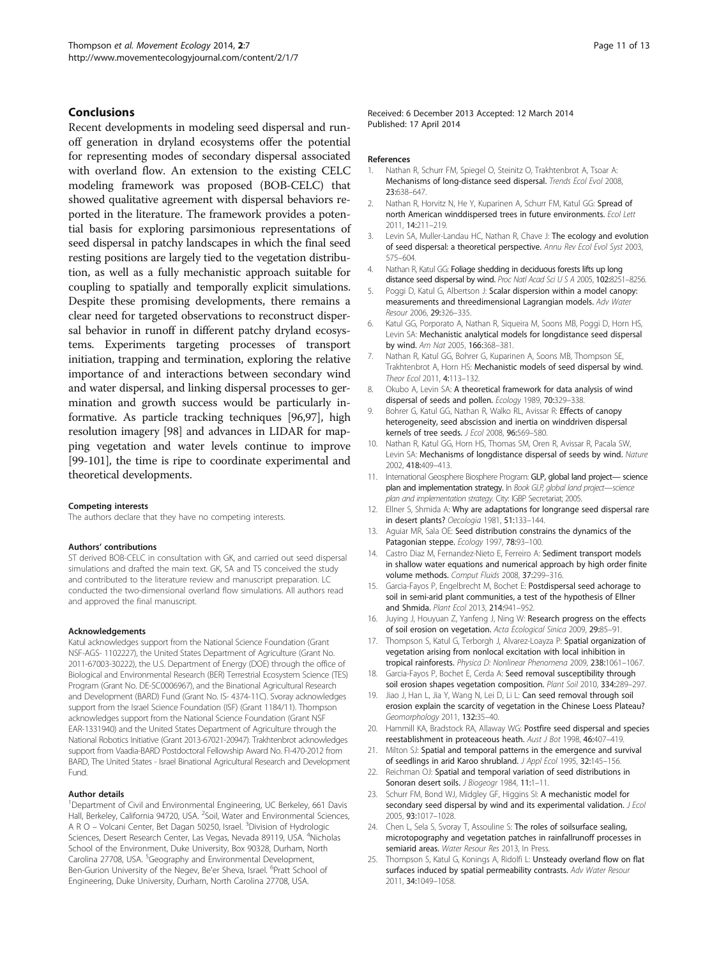## <span id="page-10-0"></span>Conclusions

Recent developments in modeling seed dispersal and runoff generation in dryland ecosystems offer the potential for representing modes of secondary dispersal associated with overland flow. An extension to the existing CELC modeling framework was proposed (BOB-CELC) that showed qualitative agreement with dispersal behaviors reported in the literature. The framework provides a potential basis for exploring parsimonious representations of seed dispersal in patchy landscapes in which the final seed resting positions are largely tied to the vegetation distribution, as well as a fully mechanistic approach suitable for coupling to spatially and temporally explicit simulations. Despite these promising developments, there remains a clear need for targeted observations to reconstruct dispersal behavior in runoff in different patchy dryland ecosystems. Experiments targeting processes of transport initiation, trapping and termination, exploring the relative importance of and interactions between secondary wind and water dispersal, and linking dispersal processes to germination and growth success would be particularly informative. As particle tracking techniques [\[96,97\]](#page-12-0), high resolution imagery [\[98](#page-12-0)] and advances in LIDAR for mapping vegetation and water levels continue to improve [[99](#page-12-0)-[101](#page-12-0)], the time is ripe to coordinate experimental and theoretical developments.

#### Competing interests

The authors declare that they have no competing interests.

#### Authors' contributions

ST derived BOB-CELC in consultation with GK, and carried out seed dispersal simulations and drafted the main text. GK, SA and TS conceived the study and contributed to the literature review and manuscript preparation. LC conducted the two-dimensional overland flow simulations. All authors read and approved the final manuscript.

#### Acknowledgements

Katul acknowledges support from the National Science Foundation (Grant NSF-AGS- 1102227), the United States Department of Agriculture (Grant No. 2011-67003-30222), the U.S. Department of Energy (DOE) through the office of Biological and Environmental Research (BER) Terrestrial Ecosystem Science (TES) Program (Grant No. DE-SC0006967), and the Binational Agricultural Research and Development (BARD) Fund (Grant No. IS- 4374-11C). Svoray acknowledges support from the Israel Science Foundation (ISF) (Grant 1184/11). Thompson acknowledges support from the National Science Foundation (Grant NSF EAR-1331940) and the United States Department of Agriculture through the National Robotics Initiative (Grant 2013-67021-20947). Trakhtenbrot acknowledges support from Vaadia-BARD Postdoctoral Fellowship Award No. FI-470-2012 from BARD, The United States - Israel Binational Agricultural Research and Development Fund.

#### Author details

<sup>1</sup>Department of Civil and Environmental Engineering, UC Berkeley, 661 Davis Hall, Berkeley, California 94720, USA. <sup>2</sup>Soil, Water and Environmental Sciences, A R O - Volcani Center, Bet Dagan 50250, Israel. <sup>3</sup>Division of Hydrologic Sciences, Desert Research Center, Las Vegas, Nevada 89119, USA. <sup>4</sup>Nicholas School of the Environment, Duke University, Box 90328, Durham, North Carolina 27708, USA. <sup>5</sup>Geography and Environmental Development, Ben-Gurion University of the Negev, Be'er Sheva, Israel. <sup>6</sup>Pratt School of Engineering, Duke University, Durham, North Carolina 27708, USA.

Received: 6 December 2013 Accepted: 12 March 2014 Published: 17 April 2014

#### References

- 1. Nathan R, Schurr FM, Spiegel O, Steinitz O, Trakhtenbrot A, Tsoar A: Mechanisms of long-distance seed dispersal. Trends Ecol Evol 2008, 23:638–647.
- 2. Nathan R, Horvitz N, He Y, Kuparinen A, Schurr FM, Katul GG: Spread of north American winddispersed trees in future environments. Ecol Lett 2011, 14:211–219.
- 3. Levin SA, Muller-Landau HC, Nathan R, Chave J: The ecology and evolution of seed dispersal: a theoretical perspective. Annu Rev Ecol Evol Syst 2003, 575–604.
- 4. Nathan R, Katul GG: Foliage shedding in deciduous forests lifts up long distance seed dispersal by wind. Proc Natl Acad Sci U S A 2005, 102:8251-8256.
- 5. Poggi D, Katul G, Albertson J: Scalar dispersion within a model canopy: measurements and threedimensional Lagrangian models. Adv Water Resour 2006, 29:326–335.
- 6. Katul GG, Porporato A, Nathan R, Siqueira M, Soons MB, Poggi D, Horn HS, Levin SA: Mechanistic analytical models for longdistance seed dispersal by wind. Am Nat 2005, 166:368–381.
- 7. Nathan R, Katul GG, Bohrer G, Kuparinen A, Soons MB, Thompson SE, Trakhtenbrot A, Horn HS: Mechanistic models of seed dispersal by wind. Theor Ecol 2011, 4:113-132.
- 8. Okubo A, Levin SA: A theoretical framework for data analysis of wind dispersal of seeds and pollen. Ecology 1989, 70:329–338.
- 9. Bohrer G, Katul GG, Nathan R, Walko RL, Avissar R: Effects of canopy heterogeneity, seed abscission and inertia on winddriven dispersal kernels of tree seeds. J Ecol 2008, 96:569–580.
- 10. Nathan R, Katul GG, Horn HS, Thomas SM, Oren R, Avissar R, Pacala SW, Levin SA: Mechanisms of longdistance dispersal of seeds by wind. Nature 2002, 418:409–413.
- 11. International Geosphere Biosphere Program: GLP, global land project- science plan and implementation strategy. In Book GLP, global land project-science plan and implementation strategy. City: IGBP Secretariat; 2005.
- 12. Ellner S, Shmida A: Why are adaptations for longrange seed dispersal rare in desert plants? Oecologia 1981, 51:133–144.
- 13. Aguiar MR, Sala OE: Seed distribution constrains the dynamics of the Patagonian steppe. Ecology 1997, 78:93-100.
- 14. Castro Diaz M, Fernandez-Nieto E, Ferreiro A: Sediment transport models in shallow water equations and numerical approach by high order finite volume methods. Comput Fluids 2008, 37:299–316.
- 15. Garcia-Fayos P, Engelbrecht M, Bochet E: Postdispersal seed achorage to soil in semi-arid plant communities, a test of the hypothesis of Ellner and Shmida. Plant Ecol 2013, 214:941–952.
- 16. Juying J, Houyuan Z, Yanfeng J, Ning W: Research progress on the effects of soil erosion on vegetation. Acta Ecological Sinica 2009, 29:85–91.
- 17. Thompson S, Katul G, Terborgh J, Alvarez-Loayza P: Spatial organization of vegetation arising from nonlocal excitation with local inhibition in tropical rainforests. Physica D: Nonlinear Phenomena 2009, 238:1061–1067.
- Garcia-Fayos P, Bochet E, Cerda A: Seed removal susceptibility through soil erosion shapes vegetation composition. Plant Soil 2010, 334:289-297.
- 19. Jiao J, Han L, Jia Y, Wang N, Lei D, Li L: Can seed removal through soil erosion explain the scarcity of vegetation in the Chinese Loess Plateau? Geomorphology 2011, 132:35–40.
- 20. Hammill KA, Bradstock RA, Allaway WG: Postfire seed dispersal and species reestablishment in proteaceous heath. Aust J Bot 1998, 46:407–419.
- 21. Milton SJ: Spatial and temporal patterns in the emergence and survival of seedlings in arid Karoo shrubland. J Appl Ecol 1995, 32:145–156.
- 22. Reichman OJ: Spatial and temporal variation of seed distributions in Sonoran desert soils. J Biogeogr 1984, 11:1-11.
- 23. Schurr FM, Bond WJ, Midgley GF, Higgins SI: A mechanistic model for secondary seed dispersal by wind and its experimental validation. J Ecol 2005, 93:1017–1028.
- 24. Chen L, Sela S, Svoray T, Assouline S: The roles of soilsurface sealing, microtopography and vegetation patches in rainfallrunoff processes in semiarid areas. Water Resour Res 2013, In Press.
- 25. Thompson S, Katul G, Konings A, Ridolfi L: Unsteady overland flow on flat surfaces induced by spatial permeability contrasts. Adv Water Resour 2011, 34:1049–1058.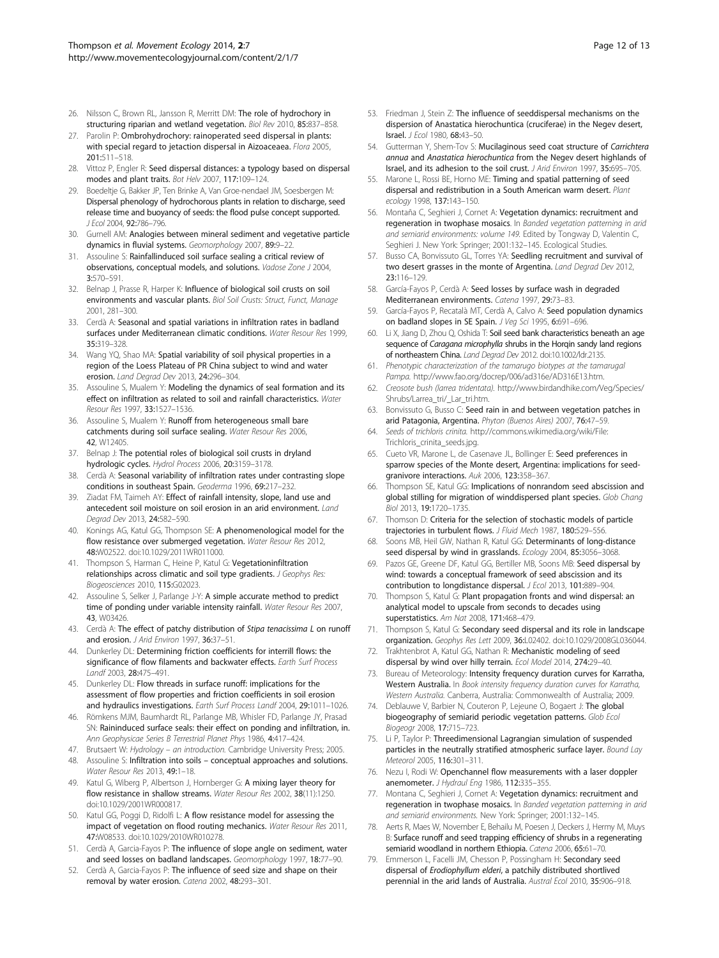- <span id="page-11-0"></span>26. Nilsson C, Brown RL, Jansson R, Merritt DM: The role of hydrochory in structuring riparian and wetland vegetation. Biol Rev 2010, 85:837–858.
- 27. Parolin P: Ombrohydrochory: rainoperated seed dispersal in plants: with special regard to jetaction dispersal in Aizoaceaea. Flora 2005, 201:511–518.
- 28. Vittoz P, Engler R: Seed dispersal distances: a typology based on dispersal modes and plant traits. Bot Helv 2007, 117:109–124.
- 29. Boedeltje G, Bakker JP, Ten Brinke A, Van Groe-nendael JM, Soesbergen M: Dispersal phenology of hydrochorous plants in relation to discharge, seed release time and buoyancy of seeds: the flood pulse concept supported. J Ecol 2004, 92:786–796.
- 30. Gurnell AM: Analogies between mineral sediment and vegetative particle dynamics in fluvial systems. Geomorphology 2007, 89:9–22.
- 31. Assouline S: Rainfallinduced soil surface sealing a critical review of observations, conceptual models, and solutions. Vadose Zone J 2004, 3:570–591.
- 32. Belnap J, Prasse R, Harper K: Influence of biological soil crusts on soil environments and vascular plants. Biol Soil Crusts: Struct, Funct, Manage 2001, 281–300.
- 33. Cerdà A: Seasonal and spatial variations in infiltration rates in badland surfaces under Mediterranean climatic conditions. Water Resour Res 1999, 35:319–328.
- 34. Wang YQ, Shao MA: Spatial variability of soil physical properties in a region of the Loess Plateau of PR China subject to wind and water erosion. Land Degrad Dev 2013, 24:296–304.
- 35. Assouline S, Mualem Y: Modeling the dynamics of seal formation and its effect on infiltration as related to soil and rainfall characteristics. Water Resour Res 1997, 33:1527–1536.
- 36. Assouline S, Mualem Y: Runoff from heterogeneous small bare catchments during soil surface sealing. Water Resour Res 2006, 42, W12405.
- 37. Belnap J: The potential roles of biological soil crusts in dryland hydrologic cycles. Hydrol Process 2006, 20:3159–3178.
- 38. Cerdà A: Seasonal variability of infiltration rates under contrasting slope conditions in southeast Spain. Geoderma 1996, 69:217–232.
- 39. Ziadat FM, Taimeh AY: Effect of rainfall intensity, slope, land use and antecedent soil moisture on soil erosion in an arid environment. Land Degrad Dev 2013, 24:582–590.
- 40. Konings AG, Katul GG, Thompson SE: A phenomenological model for the flow resistance over submerged vegetation. Water Resour Res 2012, 48:W02522. doi:10.1029/2011WR011000.
- 41. Thompson S, Harman C, Heine P, Katul G: Vegetationinfiltration relationships across climatic and soil type gradients. J Geophys Res: Biogeosciences 2010, 115:G02023.
- 42. Assouline S, Selker J, Parlange J-Y: A simple accurate method to predict time of ponding under variable intensity rainfall. Water Resour Res 2007, 43, W03426.
- 43. Cerdà A: The effect of patchy distribution of Stipa tenacissima L on runoff and erosion. J Arid Environ 1997, 36:37-51.
- 44. Dunkerley DL: Determining friction coefficients for interrill flows: the significance of flow filaments and backwater effects. Earth Surf Process Landf 2003, 28:475–491.
- 45. Dunkerley DL: Flow threads in surface runoff: implications for the assessment of flow properties and friction coefficients in soil erosion and hydraulics investigations. Earth Surf Process Landf 2004, 29:1011–1026.
- 46. Römkens MJM, Baumhardt RL, Parlange MB, Whisler FD, Parlange JY, Prasad SN: Raininduced surface seals: their effect on ponding and infiltration, in. Ann Geophysicae Series B Terrestrial Planet Phys 1986, 4:417–424.
- 47. Brutsaert W: Hydrology an introduction. Cambridge University Press; 2005.
- 48. Assouline S: Infiltration into soils conceptual approaches and solutions. Water Resour Res 2013, 49:1–18.
- 49. Katul G, Wiberg P, Albertson J, Hornberger G: A mixing layer theory for flow resistance in shallow streams. Water Resour Res 2002, 38(11):1250. doi:10.1029/2001WR000817.
- 50. Katul GG, Poggi D, Ridolfi L: A flow resistance model for assessing the impact of vegetation on flood routing mechanics. Water Resour Res 2011, 47:W08533. doi:10.1029/2010WR010278.
- 51. Cerdà A, Garcia-Fayos P: The influence of slope angle on sediment, water and seed losses on badland landscapes. Geomorphology 1997, 18:77–90.
- 52. Cerdà A, Garcia-Fayos P: The influence of seed size and shape on their removal by water erosion. Catena 2002, 48:293–301.
- 53. Friedman J, Stein Z: The influence of seeddispersal mechanisms on the dispersion of Anastatica hierochuntica (cruciferae) in the Negev desert, Israel. J Ecol 1980, 68:43–50.
- 54. Gutterman Y, Shem-Toy S: Mucilaginous seed coat structure of Carrichtera annua and Anastatica hierochuntica from the Negev desert highlands of Israel, and its adhesion to the soil crust. J Arid Environ 1997, 35:695–705.
- 55. Marone L, Rossi BE, Horno ME: Timing and spatial patterning of seed dispersal and redistribution in a South American warm desert. Plant ecology 1998, 137:143–150.
- 56. Montaña C, Seghieri J, Cornet A: Vegetation dynamics: recruitment and regeneration in twophase mosaics. In Banded vegetation patterning in arid and semiarid environments: volume 149. Edited by Tongway D, Valentin C, Seghieri J. New York: Springer; 2001:132–145. Ecological Studies.
- 57. Busso CA, Bonvissuto GL, Torres YA: Seedling recruitment and survival of two desert grasses in the monte of Argentina. Land Degrad Dev 2012, 23:116–129.
- 58. García-Fayos P, Cerdà A: Seed losses by surface wash in degraded Mediterranean environments. Catena 1997, 29:73–83.
- 59. García-Fayos P, Recatalà MT, Cerdà A, Calvo A: Seed population dynamics on badland slopes in SE Spain. J Veg Sci 1995, 6:691–696.
- 60. Li X, Jiang D, Zhou Q, Oshida T: Soil seed bank characteristics beneath an age sequence of Caragana microphylla shrubs in the Horqin sandy land regions of northeastern China. Land Degrad Dev 2012. doi:10.1002/ldr.2135.
- 61. Phenotypic characterization of the tamarugo biotypes at the tamarugal Pampa. [http://www.fao.org/docrep/006/ad316e/AD316E13.htm.](http://www.fao.org/docrep/006/ad316e/AD316E13.htm)
- 62. Creosote bush (larrea tridentata). [http://www.birdandhike.com/Veg/Species/](http://www.birdandhike.com/Veg/Species/Shrubs/Larrea_tri/_Lar_tri.htm) [Shrubs/Larrea\\_tri/\\_Lar\\_tri.htm.](http://www.birdandhike.com/Veg/Species/Shrubs/Larrea_tri/_Lar_tri.htm)
- 63. Bonvissuto G, Busso C: Seed rain in and between vegetation patches in arid Patagonia, Argentina. Phyton (Buenos Aires) 2007, 76:47–59.
- 64. Seeds of trichloris crinita. [http://commons.wikimedia.org/wiki/File:](http://commons.wikimedia.org/wiki/File:Trichloris_crinita_seeds.jpg) [Trichloris\\_crinita\\_seeds.jpg.](http://commons.wikimedia.org/wiki/File:Trichloris_crinita_seeds.jpg)
- 65. Cueto VR, Marone L, de Casenave JL, Bollinger E: Seed preferences in sparrow species of the Monte desert, Argentina: implications for seedgranivore interactions. Auk 2006, 123:358–367.
- 66. Thompson SE, Katul GG: Implications of nonrandom seed abscission and global stilling for migration of winddispersed plant species. Glob Chang Biol 2013, 19:1720–1735.
- 67. Thomson D: Criteria for the selection of stochastic models of particle trajectories in turbulent flows. J Fluid Mech 1987, 180:529-556.
- 68. Soons MB, Heil GW, Nathan R, Katul GG: Determinants of long-distance seed dispersal by wind in grasslands. Ecology 2004, 85:3056-3068.
- 69. Pazos GE, Greene DF, Katul GG, Bertiller MB, Soons MB: Seed dispersal by wind: towards a conceptual framework of seed abscission and its contribution to longdistance dispersal. J Ecol 2013, 101:889–904.
- 70. Thompson S, Katul G: Plant propagation fronts and wind dispersal: an analytical model to upscale from seconds to decades using superstatistics. Am Nat 2008, 171:468-479.
- 71. Thompson S, Katul G: Secondary seed dispersal and its role in landscape organization. Geophys Res Lett 2009, 36:L02402. doi:10.1029/2008GL036044.
- 72. Trakhtenbrot A, Katul GG, Nathan R: Mechanistic modeling of seed dispersal by wind over hilly terrain. Ecol Model 2014, 274:29–40.
- 73. Bureau of Meteorology: Intensity frequency duration curves for Karratha, Western Australia. In Book intensity frequency duration curves for Karratha, Western Australia. Canberra, Australia: Commonwealth of Australia; 2009.
- 74. Deblauwe V, Barbier N, Couteron P, Lejeune O, Bogaert J: The global biogeography of semiarid periodic vegetation patterns. Glob Ecol Biogeogr 2008, 17:715–723.
- 75. Li P, Taylor P: Threedimensional Lagrangian simulation of suspended particles in the neutrally stratified atmospheric surface layer. Bound Lay Meteorol 2005, 116:301–311.
- 76. Nezu I, Rodi W: Openchannel flow measurements with a laser doppler anemometer. J Hydraul Eng 1986, 112:335-355.
- 77. Montana C, Seghieri J, Cornet A: Vegetation dynamics: recruitment and regeneration in twophase mosaics. In Banded vegetation patterning in arid and semiarid environments. New York: Springer; 2001:132–145.
- 78. Aerts R, Maes W, November E, Behailu M, Poesen J, Deckers J, Hermy M, Muys B: Surface runoff and seed trapping efficiency of shrubs in a regenerating semiarid woodland in northern Ethiopia. Catena 2006, 65:61-70.
- 79. Emmerson L, Facelli JM, Chesson P, Possingham H: Secondary seed dispersal of Erodiophyllum elderi, a patchily distributed shortlived perennial in the arid lands of Australia. Austral Ecol 2010, 35:906–918.